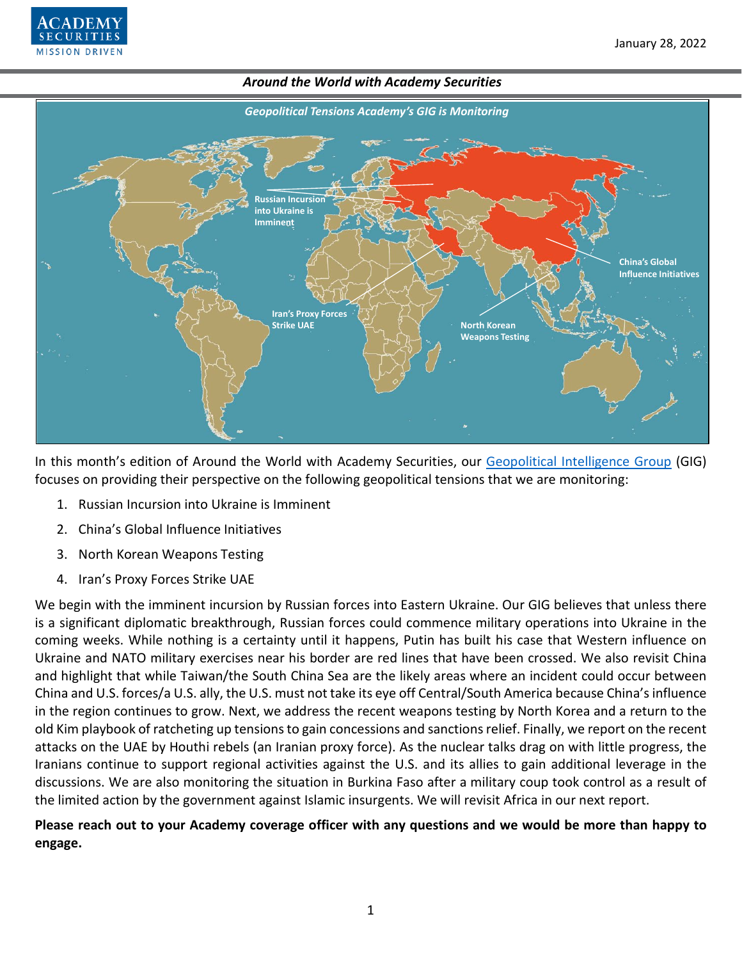



In this month's edition of Around the World with Academy Securities, our [Geopolitical Intelligence Group](https://www.academysecurities.com/geopolitical/geopolitical-intelligence-group/) (GIG) focuses on providing their perspective on the following geopolitical tensions that we are monitoring:

- 1. Russian Incursion into Ukraine is Imminent
- 2. China's Global Influence Initiatives
- 3. North Korean Weapons Testing
- 4. Iran's Proxy Forces Strike UAE

We begin with the imminent incursion by Russian forces into Eastern Ukraine. Our GIG believes that unless there is a significant diplomatic breakthrough, Russian forces could commence military operations into Ukraine in the coming weeks. While nothing is a certainty until it happens, Putin has built his case that Western influence on Ukraine and NATO military exercises near his border are red lines that have been crossed. We also revisit China and highlight that while Taiwan/the South China Sea are the likely areas where an incident could occur between China and U.S. forces/a U.S. ally, the U.S. must not take its eye off Central/South America because China's influence in the region continues to grow. Next, we address the recent weapons testing by North Korea and a return to the old Kim playbook of ratcheting up tensions to gain concessions and sanctions relief. Finally, we report on the recent attacks on the UAE by Houthi rebels (an Iranian proxy force). As the nuclear talks drag on with little progress, the Iranians continue to support regional activities against the U.S. and its allies to gain additional leverage in the discussions. We are also monitoring the situation in Burkina Faso after a military coup took control as a result of the limited action by the government against Islamic insurgents. We will revisit Africa in our next report.

# **Please reach out to your Academy coverage officer with any questions and we would be more than happy to engage.**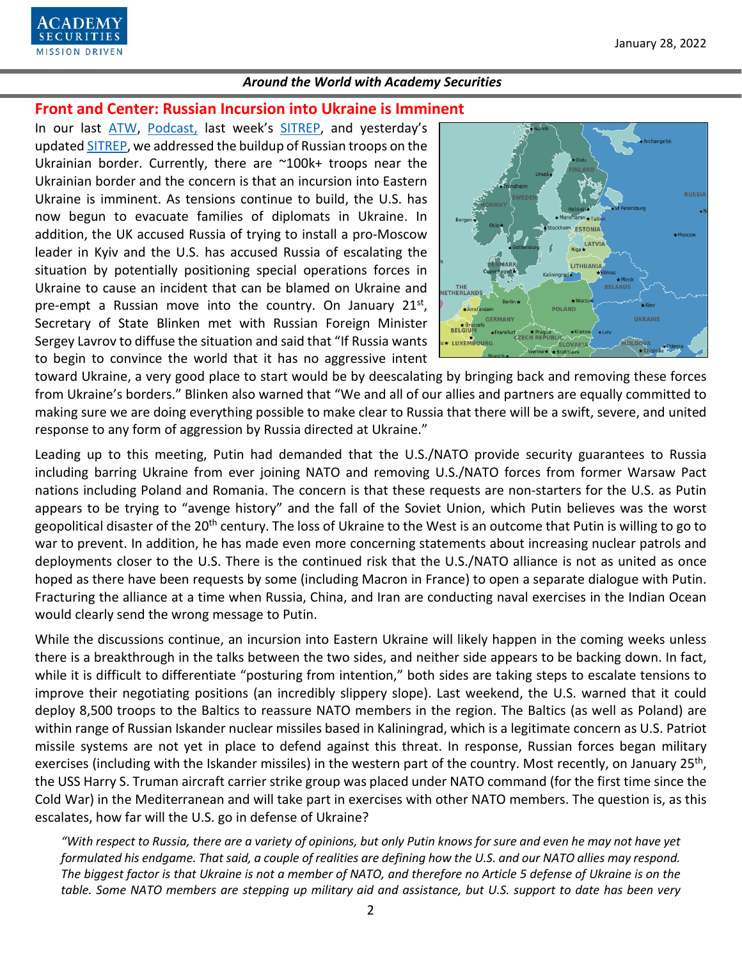

**Front and Center: Russian Incursion into Ukraine is Imminent**

In our last [ATW,](https://www.academysecurities.com/wordpress/wp-content/uploads/2021/12/Around-the-World-with-Academy-Securities_12-17-21.pdf) [Podcast,](https://www.academysecurities.com/geopolitical/geopolitical-podcasts/) last week's [SITREP,](https://www.academysecurities.com/geopolitical/insights/) and yesterday's updated [SITREP,](https://www.academysecurities.com/russia-on-the-warpath-update-1-26-22/) we addressed the buildup of Russian troops on the Ukrainian border. Currently, there are ~100k+ troops near the Ukrainian border and the concern is that an incursion into Eastern Ukraine is imminent. As tensions continue to build, the U.S. has now begun to evacuate families of diplomats in Ukraine. In addition, the UK accused Russia of trying to install a pro-Moscow leader in Kyiv and the U.S. has accused Russia of escalating the situation by potentially positioning special operations forces in Ukraine to cause an incident that can be blamed on Ukraine and pre-empt a Russian move into the country. On January  $21^{st}$ , Secretary of State Blinken met with Russian Foreign Minister Sergey Lavrov to diffuse the situation and said that "If Russia wants to begin to convince the world that it has no aggressive intent



toward Ukraine, a very good place to start would be by deescalating by bringing back and removing these forces from Ukraine's borders." Blinken also warned that "We and all of our allies and partners are equally committed to making sure we are doing everything possible to make clear to Russia that there will be a swift, severe, and united response to any form of aggression by Russia directed at Ukraine."

Leading up to this meeting, Putin had demanded that the U.S./NATO provide security guarantees to Russia including barring Ukraine from ever joining NATO and removing U.S./NATO forces from former Warsaw Pact nations including Poland and Romania. The concern is that these requests are non-starters for the U.S. as Putin appears to be trying to "avenge history" and the fall of the Soviet Union, which Putin believes was the worst geopolitical disaster of the 20<sup>th</sup> century. The loss of Ukraine to the West is an outcome that Putin is willing to go to war to prevent. In addition, he has made even more concerning statements about increasing nuclear patrols and deployments closer to the U.S. There is the continued risk that the U.S./NATO alliance is not as united as once hoped as there have been requests by some (including Macron in France) to open a separate dialogue with Putin. Fracturing the alliance at a time when Russia, China, and Iran are conducting naval exercises in the Indian Ocean would clearly send the wrong message to Putin.

While the discussions continue, an incursion into Eastern Ukraine will likely happen in the coming weeks unless there is a breakthrough in the talks between the two sides, and neither side appears to be backing down. In fact, while it is difficult to differentiate "posturing from intention," both sides are taking steps to escalate tensions to improve their negotiating positions (an incredibly slippery slope). Last weekend, the U.S. warned that it could deploy 8,500 troops to the Baltics to reassure NATO members in the region. The Baltics (as well as Poland) are within range of Russian Iskander nuclear missiles based in Kaliningrad, which is a legitimate concern as U.S. Patriot missile systems are not yet in place to defend against this threat. In response, Russian forces began military exercises (including with the Iskander missiles) in the western part of the country. Most recently, on January  $25<sup>th</sup>$ , the USS Harry S. Truman aircraft carrier strike group was placed under NATO command (for the first time since the Cold War) in the Mediterranean and will take part in exercises with other NATO members. The question is, as this escalates, how far will the U.S. go in defense of Ukraine?

*"With respect to Russia, there are a variety of opinions, but only Putin knows for sure and even he may not have yet formulated his endgame. That said, a couple of realities are defining how the U.S. and our NATO allies may respond. The biggest factor is that Ukraine is not a member of NATO, and therefore no Article 5 defense of Ukraine is on the table. Some NATO members are stepping up military aid and assistance, but U.S. support to date has been very*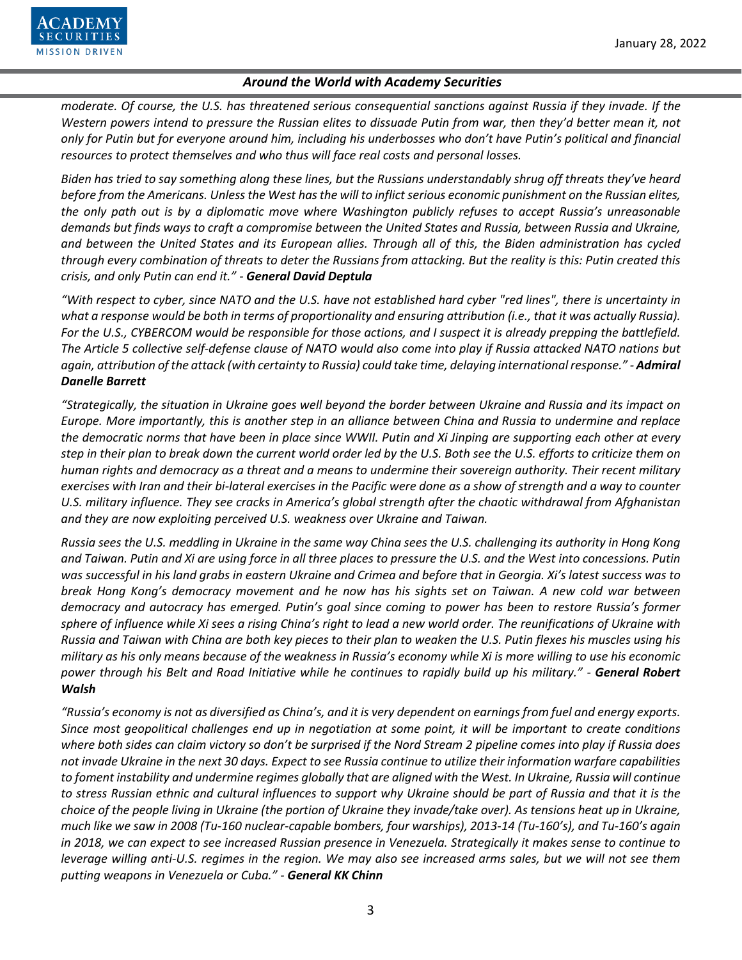

*moderate. Of course, the U.S. has threatened serious consequential sanctions against Russia if they invade. If the Western powers intend to pressure the Russian elites to dissuade Putin from war, then they'd better mean it, not only for Putin but for everyone around him, including his underbosses who don't have Putin's political and financial resources to protect themselves and who thus will face real costs and personal losses.*

*Biden has tried to say something along these lines, but the Russians understandably shrug off threats they've heard before from the Americans. Unless the West has the will to inflict serious economic punishment on the Russian elites, the only path out is by a diplomatic move where Washington publicly refuses to accept Russia's unreasonable demands but finds ways to craft a compromise between the United States and Russia, between Russia and Ukraine, and between the United States and its European allies. Through all of this, the Biden administration has cycled through every combination of threats to deter the Russians from attacking. But the reality is this: Putin created this crisis, and only Putin can end it." - General David Deptula*

*"With respect to cyber, since NATO and the U.S. have not established hard cyber "red lines", there is uncertainty in what a response would be both in terms of proportionality and ensuring attribution (i.e., that it was actually Russia). For the U.S., CYBERCOM would be responsible for those actions, and I suspect it is already prepping the battlefield. The Article 5 collective self-defense clause of NATO would also come into play if Russia attacked NATO nations but again, attribution of the attack (with certainty to Russia) could take time, delaying international response." - Admiral Danelle Barrett*

*"Strategically, the situation in Ukraine goes well beyond the border between Ukraine and Russia and its impact on Europe. More importantly, this is another step in an alliance between China and Russia to undermine and replace the democratic norms that have been in place since WWII. Putin and Xi Jinping are supporting each other at every step in their plan to break down the current world order led by the U.S. Both see the U.S. efforts to criticize them on human rights and democracy as a threat and a means to undermine their sovereign authority. Their recent military exercises with Iran and their bi-lateral exercises in the Pacific were done as a show of strength and a way to counter U.S. military influence. They see cracks in America's global strength after the chaotic withdrawal from Afghanistan and they are now exploiting perceived U.S. weakness over Ukraine and Taiwan.* 

*Russia sees the U.S. meddling in Ukraine in the same way China sees the U.S. challenging its authority in Hong Kong and Taiwan. Putin and Xi are using force in all three places to pressure the U.S. and the West into concessions. Putin was successful in his land grabs in eastern Ukraine and Crimea and before that in Georgia. Xi's latest success was to break Hong Kong's democracy movement and he now has his sights set on Taiwan. A new cold war between democracy and autocracy has emerged. Putin's goal since coming to power has been to restore Russia's former sphere of influence while Xi sees a rising China's right to lead a new world order. The reunifications of Ukraine with Russia and Taiwan with China are both key pieces to their plan to weaken the U.S. Putin flexes his muscles using his military as his only means because of the weakness in Russia's economy while Xi is more willing to use his economic power through his Belt and Road Initiative while he continues to rapidly build up his military." - General Robert Walsh*

*"Russia's economy is not as diversified as China's, and it is very dependent on earnings from fuel and energy exports. Since most geopolitical challenges end up in negotiation at some point, it will be important to create conditions where both sides can claim victory so don't be surprised if the Nord Stream 2 pipeline comes into play if Russia does not invade Ukraine in the next 30 days. Expect to see Russia continue to utilize their information warfare capabilities to foment instability and undermine regimes globally that are aligned with the West. In Ukraine, Russia will continue to stress Russian ethnic and cultural influences to support why Ukraine should be part of Russia and that it is the choice of the people living in Ukraine (the portion of Ukraine they invade/take over). As tensions heat up in Ukraine, much like we saw in 2008 (Tu-160 nuclear-capable bombers, four warships), 2013-14 (Tu-160's), and Tu-160's again in 2018, we can expect to see increased Russian presence in Venezuela. Strategically it makes sense to continue to leverage willing anti-U.S. regimes in the region. We may also see increased arms sales, but we will not see them putting weapons in Venezuela or Cuba." - General KK Chinn*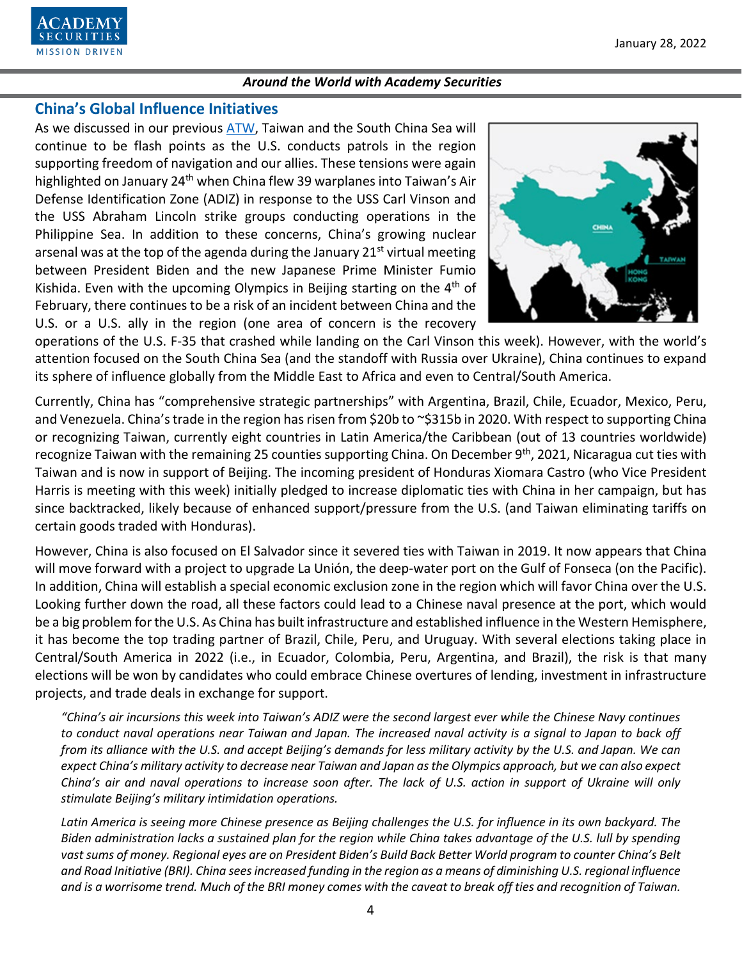

# **China's Global Influence Initiatives**

As we discussed in our previous [ATW,](https://www.academysecurities.com/wordpress/wp-content/uploads/2021/12/Around-the-World-with-Academy-Securities_12-17-21.pdf) Taiwan and the South China Sea will continue to be flash points as the U.S. conducts patrols in the region supporting freedom of navigation and our allies. These tensions were again highlighted on January 24<sup>th</sup> when China flew 39 warplanes into Taiwan's Air Defense Identification Zone (ADIZ) in response to the USS Carl Vinson and the USS Abraham Lincoln strike groups conducting operations in the Philippine Sea. In addition to these concerns, China's growing nuclear arsenal was at the top of the agenda during the January  $21^{st}$  virtual meeting between President Biden and the new Japanese Prime Minister Fumio Kishida. Even with the upcoming Olympics in Beijing starting on the  $4<sup>th</sup>$  of February, there continues to be a risk of an incident between China and the U.S. or a U.S. ally in the region (one area of concern is the recovery



operations of the U.S. F-35 that crashed while landing on the Carl Vinson this week). However, with the world's attention focused on the South China Sea (and the standoff with Russia over Ukraine), China continues to expand its sphere of influence globally from the Middle East to Africa and even to Central/South America.

Currently, China has "comprehensive strategic partnerships" with Argentina, Brazil, Chile, Ecuador, Mexico, Peru, and Venezuela. China's trade in the region has risen from \$20b to ~\$315b in 2020. With respect to supporting China or recognizing Taiwan, currently eight countries in Latin America/the Caribbean (out of 13 countries worldwide) recognize Taiwan with the remaining 25 counties supporting China. On December 9<sup>th</sup>, 2021, Nicaragua cut ties with Taiwan and is now in support of Beijing. The incoming president of Honduras Xiomara Castro (who Vice President Harris is meeting with this week) initially pledged to increase diplomatic ties with China in her campaign, but has since backtracked, likely because of enhanced support/pressure from the U.S. (and Taiwan eliminating tariffs on certain goods traded with Honduras).

However, China is also focused on El Salvador since it severed ties with Taiwan in 2019. It now appears that China will move forward with a project to upgrade La Unión, the deep-water port on the Gulf of Fonseca (on the Pacific). In addition, China will establish a special economic exclusion zone in the region which will favor China over the U.S. Looking further down the road, all these factors could lead to a Chinese naval presence at the port, which would be a big problem for the U.S. As China has built infrastructure and established influence in the Western Hemisphere, it has become the top trading partner of Brazil, Chile, Peru, and Uruguay. With several elections taking place in Central/South America in 2022 (i.e., in Ecuador, Colombia, Peru, Argentina, and Brazil), the risk is that many elections will be won by candidates who could embrace Chinese overtures of lending, investment in infrastructure projects, and trade deals in exchange for support.

*"China's air incursions this week into Taiwan's ADIZ were the second largest ever while the Chinese Navy continues to conduct naval operations near Taiwan and Japan. The increased naval activity is a signal to Japan to back off from its alliance with the U.S. and accept Beijing's demands for less military activity by the U.S. and Japan. We can expect China's military activity to decrease near Taiwan and Japan as the Olympics approach, but we can also expect China's air and naval operations to increase soon after. The lack of U.S. action in support of Ukraine will only stimulate Beijing's military intimidation operations.*

*Latin America is seeing more Chinese presence as Beijing challenges the U.S. for influence in its own backyard. The Biden administration lacks a sustained plan for the region while China takes advantage of the U.S. lull by spending vast sums of money. Regional eyes are on President Biden's Build Back Better World program to counter China's Belt and Road Initiative (BRI). China sees increased funding in the region as a means of diminishing U.S. regional influence and is a worrisome trend. Much of the BRI money comes with the caveat to break off ties and recognition of Taiwan.*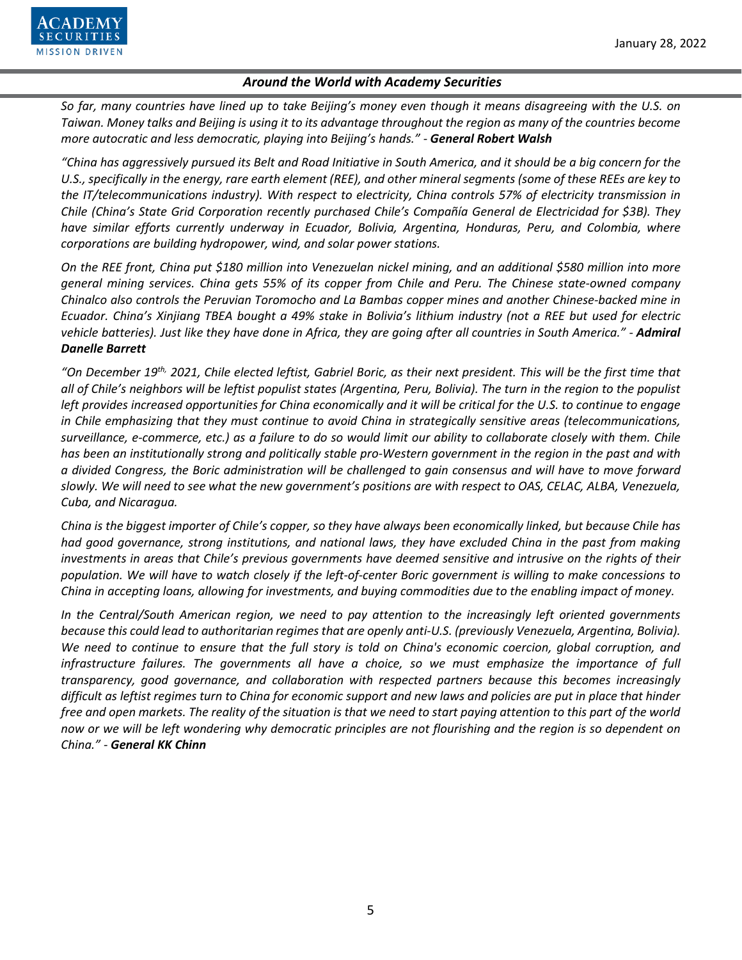

*So far, many countries have lined up to take Beijing's money even though it means disagreeing with the U.S. on Taiwan. Money talks and Beijing is using it to its advantage throughout the region as many of the countries become more autocratic and less democratic, playing into Beijing's hands." - General Robert Walsh*

*"China has aggressively pursued its Belt and Road Initiative in South America, and it should be a big concern for the U.S., specifically in the energy, rare earth element (REE), and other mineral segments (some of these REEs are key to the IT/telecommunications industry). With respect to electricity, China controls 57% of electricity transmission in Chile (China's State Grid Corporation recently purchased Chile's Compañía General de Electricidad for \$3B). They have similar efforts currently underway in Ecuador, Bolivia, Argentina, Honduras, Peru, and Colombia, where corporations are building hydropower, wind, and solar power stations.* 

*On the REE front, China put \$180 million into Venezuelan nickel mining, and an additional \$580 million into more general mining services. China gets 55% of its copper from Chile and Peru. The Chinese state-owned company Chinalco also controls the Peruvian Toromocho and La Bambas copper mines and another Chinese-backed mine in Ecuador. China's Xinjiang TBEA bought a 49% stake in Bolivia's lithium industry (not a REE but used for electric vehicle batteries). Just like they have done in Africa, they are going after all countries in South America." - Admiral Danelle Barrett*

*"On December 19th, 2021, Chile elected leftist, Gabriel Boric, as their next president. This will be the first time that all of Chile's neighbors will be leftist populist states (Argentina, Peru, Bolivia). The turn in the region to the populist left provides increased opportunities for China economically and it will be critical for the U.S. to continue to engage in Chile emphasizing that they must continue to avoid China in strategically sensitive areas (telecommunications, surveillance, e-commerce, etc.) as a failure to do so would limit our ability to collaborate closely with them. Chile has been an institutionally strong and politically stable pro-Western government in the region in the past and with a divided Congress, the Boric administration will be challenged to gain consensus and will have to move forward slowly. We will need to see what the new government's positions are with respect to OAS, CELAC, ALBA, Venezuela, Cuba, and Nicaragua.* 

*China is the biggest importer of Chile's copper, so they have always been economically linked, but because Chile has had good governance, strong institutions, and national laws, they have excluded China in the past from making investments in areas that Chile's previous governments have deemed sensitive and intrusive on the rights of their population. We will have to watch closely if the left-of-center Boric government is willing to make concessions to China in accepting loans, allowing for investments, and buying commodities due to the enabling impact of money.*

*In the Central/South American region, we need to pay attention to the increasingly left oriented governments because this could lead to authoritarian regimes that are openly anti-U.S. (previously Venezuela, Argentina, Bolivia). We need to continue to ensure that the full story is told on China's economic coercion, global corruption, and infrastructure failures. The governments all have a choice, so we must emphasize the importance of full transparency, good governance, and collaboration with respected partners because this becomes increasingly difficult as leftist regimes turn to China for economic support and new laws and policies are put in place that hinder free and open markets. The reality of the situation is that we need to start paying attention to this part of the world now or we will be left wondering why democratic principles are not flourishing and the region is so dependent on China." - General KK Chinn*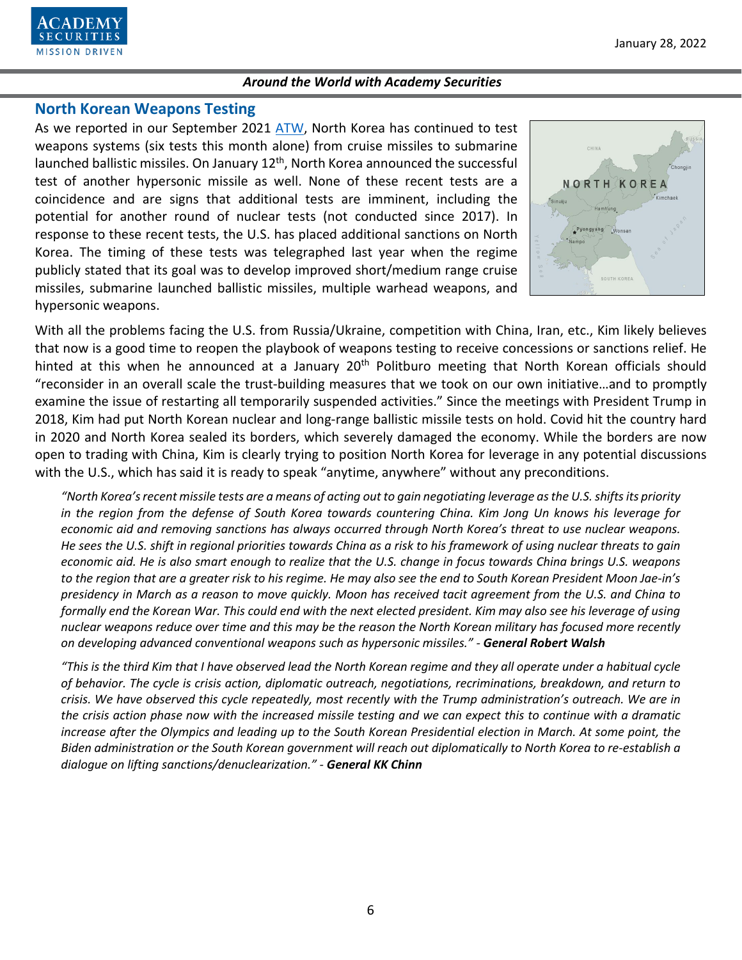

# **North Korean Weapons Testing**

As we reported in our September 2021 [ATW,](https://www.academysecurities.com/wordpress/wp-content/uploads/2021/09/Around-the-World-with-Academy-Securities_9_28_21.pdf) North Korea has continued to test weapons systems (six tests this month alone) from cruise missiles to submarine launched ballistic missiles. On January  $12<sup>th</sup>$ , North Korea announced the successful test of another hypersonic missile as well. None of these recent tests are a coincidence and are signs that additional tests are imminent, including the potential for another round of nuclear tests (not conducted since 2017). In response to these recent tests, the U.S. has placed additional sanctions on North Korea. The timing of these tests was telegraphed last year when the regime publicly stated that its goal was to develop improved short/medium range cruise missiles, submarine launched ballistic missiles, multiple warhead weapons, and hypersonic weapons.



With all the problems facing the U.S. from Russia/Ukraine, competition with China, Iran, etc., Kim likely believes that now is a good time to reopen the playbook of weapons testing to receive concessions or sanctions relief. He hinted at this when he announced at a January 20<sup>th</sup> Politburo meeting that North Korean officials should "reconsider in an overall scale the trust-building measures that we took on our own initiative…and to promptly examine the issue of restarting all temporarily suspended activities." Since the meetings with President Trump in 2018, Kim had put North Korean nuclear and long-range ballistic missile tests on hold. Covid hit the country hard in 2020 and North Korea sealed its borders, which severely damaged the economy. While the borders are now open to trading with China, Kim is clearly trying to position North Korea for leverage in any potential discussions with the U.S., which has said it is ready to speak "anytime, anywhere" without any preconditions.

*"North Korea's recent missile tests are a means of acting out to gain negotiating leverage as the U.S. shifts its priority in the region from the defense of South Korea towards countering China. Kim Jong Un knows his leverage for economic aid and removing sanctions has always occurred through North Korea's threat to use nuclear weapons. He sees the U.S. shift in regional priorities towards China as a risk to his framework of using nuclear threats to gain economic aid. He is also smart enough to realize that the U.S. change in focus towards China brings U.S. weapons to the region that are a greater risk to his regime. He may also see the end to South Korean President Moon Jae-in's presidency in March as a reason to move quickly. Moon has received tacit agreement from the U.S. and China to formally end the Korean War. This could end with the next elected president. Kim may also see his leverage of using nuclear weapons reduce over time and this may be the reason the North Korean military has focused more recently on developing advanced conventional weapons such as hypersonic missiles." - General Robert Walsh*

*"This is the third Kim that I have observed lead the North Korean regime and they all operate under a habitual cycle of behavior. The cycle is crisis action, diplomatic outreach, negotiations, recriminations, breakdown, and return to crisis. We have observed this cycle repeatedly, most recently with the Trump administration's outreach. We are in the crisis action phase now with the increased missile testing and we can expect this to continue with a dramatic increase after the Olympics and leading up to the South Korean Presidential election in March. At some point, the Biden administration or the South Korean government will reach out diplomatically to North Korea to re-establish a dialogue on lifting sanctions/denuclearization." - General KK Chinn*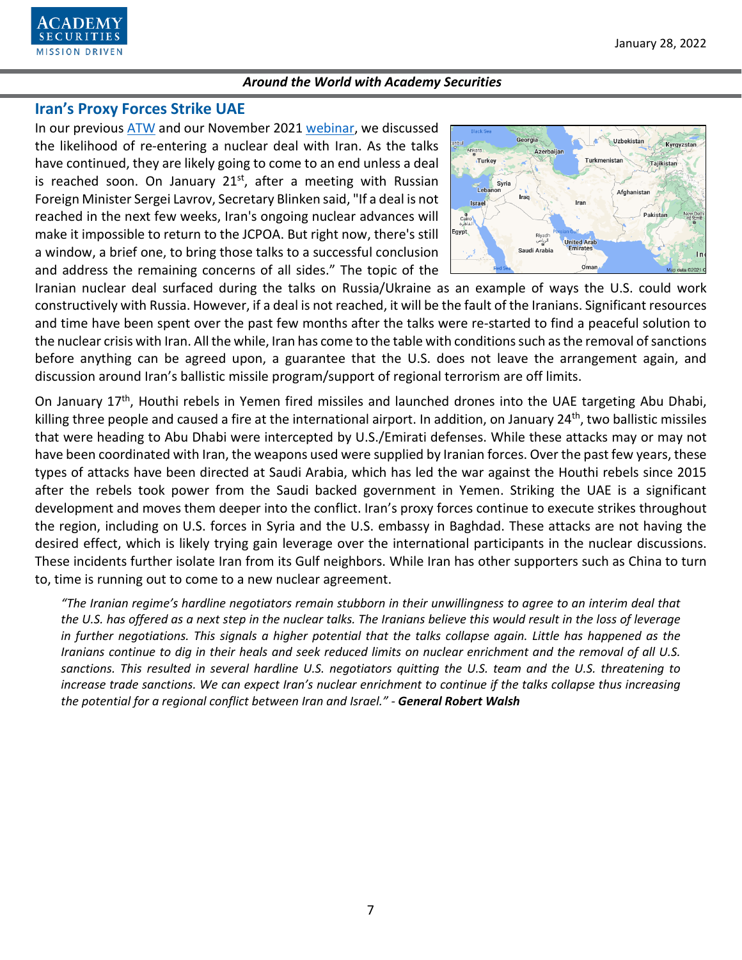

## **Iran's Proxy Forces Strike UAE**

In our previous [ATW](https://www.academysecurities.com/wordpress/wp-content/uploads/2021/12/Around-the-World-with-Academy-Securities_12-17-21.pdf) and our November 2021 [webinar,](https://www.youtube.com/watch?v=2q5DltN_WCY) we discussed the likelihood of re-entering a nuclear deal with Iran. As the talks have continued, they are likely going to come to an end unless a deal is reached soon. On January  $21<sup>st</sup>$ , after a meeting with Russian Foreign Minister Sergei Lavrov, Secretary Blinken said, "If a deal is not reached in the next few weeks, Iran's ongoing nuclear advances will make it impossible to return to the JCPOA. But right now, there's still a window, a brief one, to bring those talks to a successful conclusion and address the remaining concerns of all sides." The topic of the



Iranian nuclear deal surfaced during the talks on Russia/Ukraine as an example of ways the U.S. could work constructively with Russia. However, if a deal is not reached, it will be the fault of the Iranians. Significant resources and time have been spent over the past few months after the talks were re-started to find a peaceful solution to the nuclear crisis with Iran. All the while, Iran has come to the table with conditions such as the removal of sanctions before anything can be agreed upon, a guarantee that the U.S. does not leave the arrangement again, and discussion around Iran's ballistic missile program/support of regional terrorism are off limits.

On January 17<sup>th</sup>, Houthi rebels in Yemen fired missiles and launched drones into the UAE targeting Abu Dhabi, killing three people and caused a fire at the international airport. In addition, on January 24<sup>th</sup>, two ballistic missiles that were heading to Abu Dhabi were intercepted by U.S./Emirati defenses. While these attacks may or may not have been coordinated with Iran, the weapons used were supplied by Iranian forces. Over the past few years, these types of attacks have been directed at Saudi Arabia, which has led the war against the Houthi rebels since 2015 after the rebels took power from the Saudi backed government in Yemen. Striking the UAE is a significant development and moves them deeper into the conflict. Iran's proxy forces continue to execute strikes throughout the region, including on U.S. forces in Syria and the U.S. embassy in Baghdad. These attacks are not having the desired effect, which is likely trying gain leverage over the international participants in the nuclear discussions. These incidents further isolate Iran from its Gulf neighbors. While Iran has other supporters such as China to turn to, time is running out to come to a new nuclear agreement.

*"The Iranian regime's hardline negotiators remain stubborn in their unwillingness to agree to an interim deal that the U.S. has offered as a next step in the nuclear talks. The Iranians believe this would result in the loss of leverage in further negotiations. This signals a higher potential that the talks collapse again. Little has happened as the Iranians continue to dig in their heals and seek reduced limits on nuclear enrichment and the removal of all U.S. sanctions. This resulted in several hardline U.S. negotiators quitting the U.S. team and the U.S. threatening to increase trade sanctions. We can expect Iran's nuclear enrichment to continue if the talks collapse thus increasing the potential for a regional conflict between Iran and Israel." - General Robert Walsh*